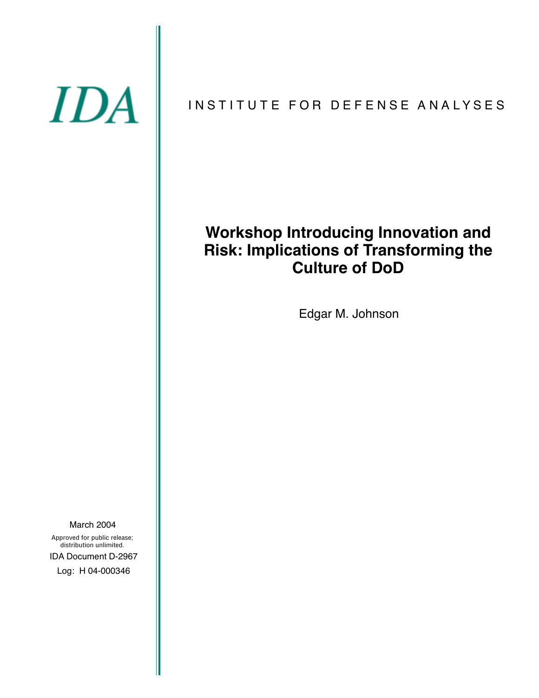# IDA

# INSTITUTE FOR DEFENSE ANALYSES

# **Workshop Introducing Innovation and Risk: Implications of Transforming the Culture of DoD**

Edgar M. Johnson

March 2004 Approved for public release;

IDA Document D-2967 Log: H 04-000346 distribution unlimited.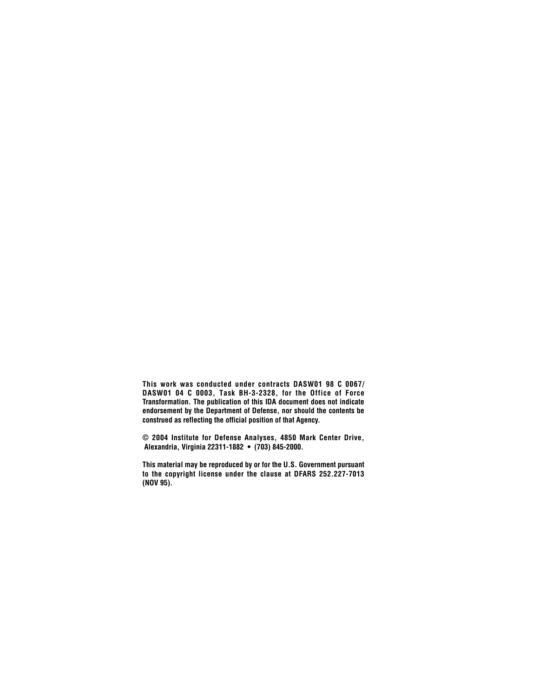**This work was conducted under contracts DASW01 98 C 0067/ DASW01 04 C 0003, Task BH-3-2328, for the Office of Force Transformation. The publication of this IDA document does not indicate endorsement by the Department of Defense, nor should the contents be construed as reflecting the official position of that Agency.**

**© 2004 Institute for Defense Analyses, 4850 Mark Center Drive, Alexandria, Virginia 22311-1882 • (703) 845-2000.**

**This material may be reproduced by or for the U.S. Government pursuant to the copyright license under the clause at DFARS 252.227-7013 (NOV 95).**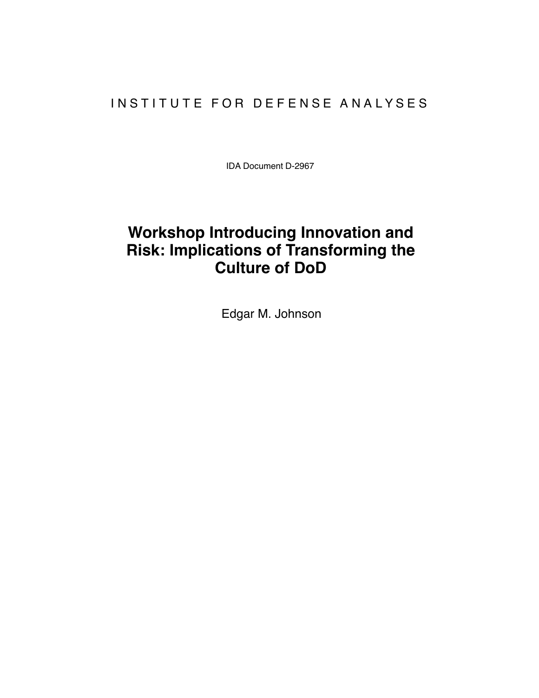# INSTITUTE FOR DEFENSE ANALYSES

IDA Document D-2967

# **Workshop Introducing Innovation and Risk: Implications of Transforming the Culture of DoD**

Edgar M. Johnson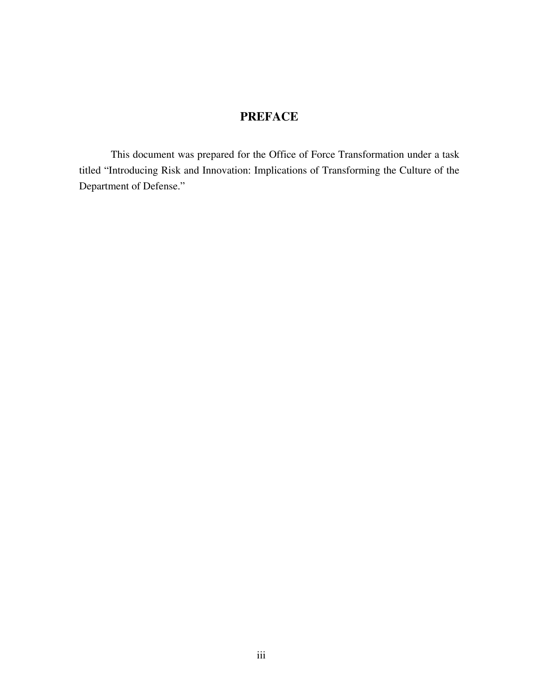# **PREFACE**

This document was prepared for the Office of Force Transformation under a task titled "Introducing Risk and Innovation: Implications of Transforming the Culture of the Department of Defense."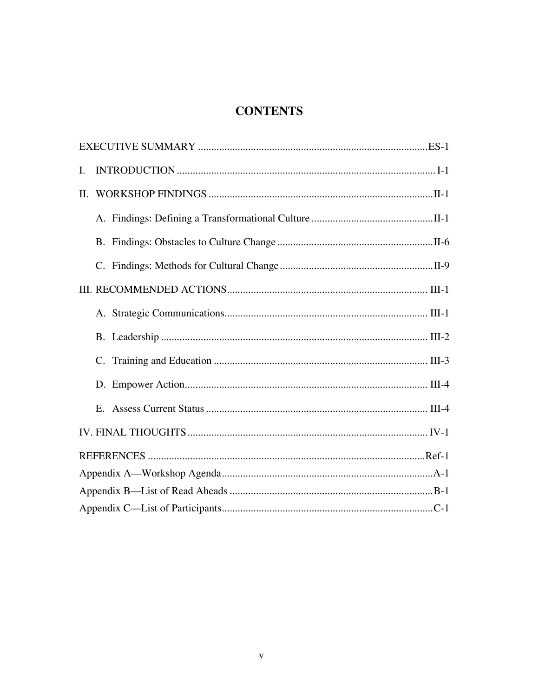# **CONTENTS**

| I. |  |  |  |  |  |
|----|--|--|--|--|--|
| Π. |  |  |  |  |  |
|    |  |  |  |  |  |
|    |  |  |  |  |  |
|    |  |  |  |  |  |
|    |  |  |  |  |  |
|    |  |  |  |  |  |
|    |  |  |  |  |  |
|    |  |  |  |  |  |
|    |  |  |  |  |  |
|    |  |  |  |  |  |
|    |  |  |  |  |  |
|    |  |  |  |  |  |
|    |  |  |  |  |  |
|    |  |  |  |  |  |
|    |  |  |  |  |  |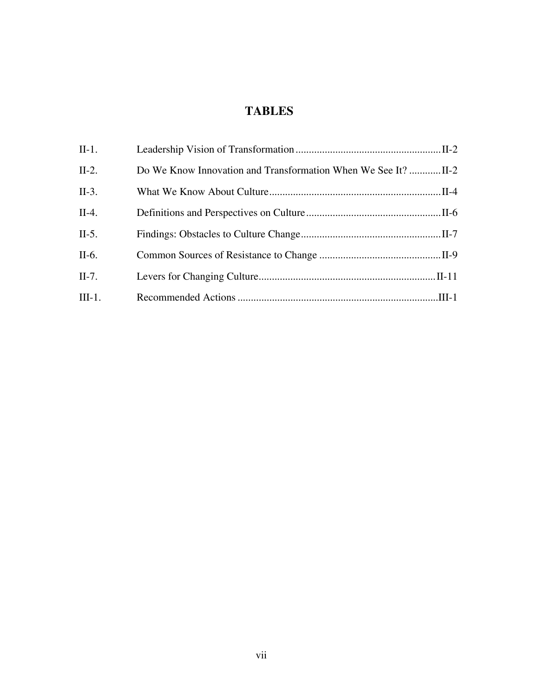# **TABLES**

| II-1.   |  |
|---------|--|
| $II-2.$ |  |
| $II-3.$ |  |
| II-4.   |  |
| $II-5.$ |  |
| II-6.   |  |
| II-7.   |  |
| III-1.  |  |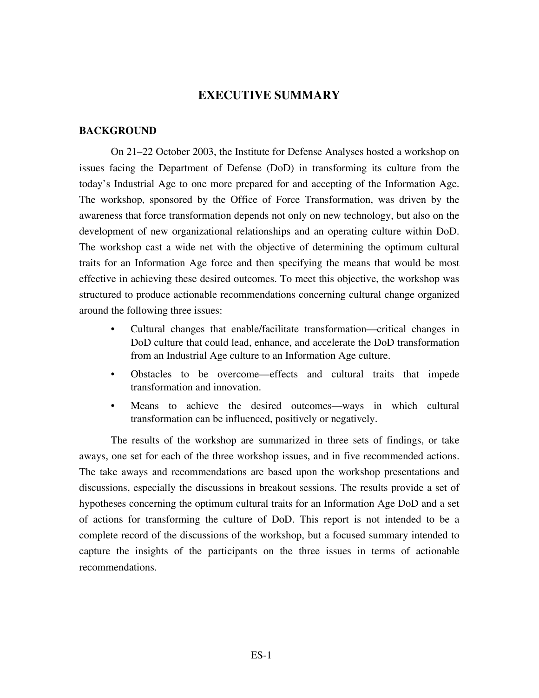### **EXECUTIVE SUMMARY**

### **BACKGROUND**

On 21–22 October 2003, the Institute for Defense Analyses hosted a workshop on issues facing the Department of Defense (DoD) in transforming its culture from the today's Industrial Age to one more prepared for and accepting of the Information Age. The workshop, sponsored by the Office of Force Transformation, was driven by the awareness that force transformation depends not only on new technology, but also on the development of new organizational relationships and an operating culture within DoD. The workshop cast a wide net with the objective of determining the optimum cultural traits for an Information Age force and then specifying the means that would be most effective in achieving these desired outcomes. To meet this objective, the workshop was structured to produce actionable recommendations concerning cultural change organized around the following three issues:

- Cultural changes that enable/facilitate transformation—critical changes in DoD culture that could lead, enhance, and accelerate the DoD transformation from an Industrial Age culture to an Information Age culture.
- Obstacles to be overcome—effects and cultural traits that impede transformation and innovation.
- Means to achieve the desired outcomes—ways in which cultural transformation can be influenced, positively or negatively.

The results of the workshop are summarized in three sets of findings, or take aways, one set for each of the three workshop issues, and in five recommended actions. The take aways and recommendations are based upon the workshop presentations and discussions, especially the discussions in breakout sessions. The results provide a set of hypotheses concerning the optimum cultural traits for an Information Age DoD and a set of actions for transforming the culture of DoD. This report is not intended to be a complete record of the discussions of the workshop, but a focused summary intended to capture the insights of the participants on the three issues in terms of actionable recommendations.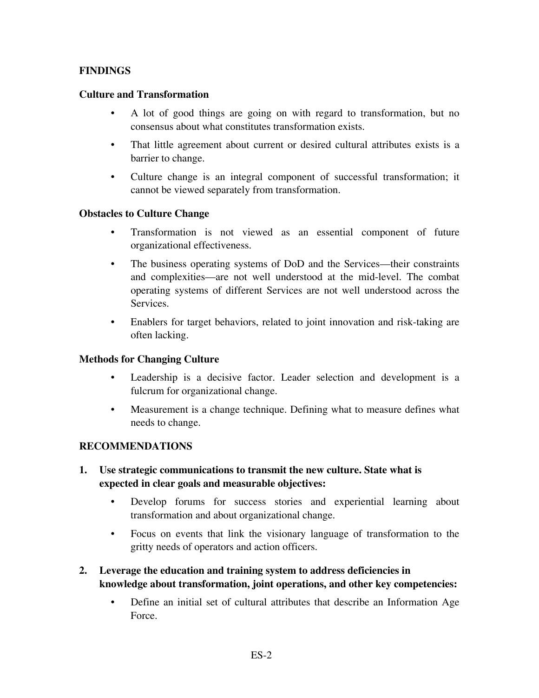### **FINDINGS**

### **Culture and Transformation**

- A lot of good things are going on with regard to transformation, but no consensus about what constitutes transformation exists.
- That little agreement about current or desired cultural attributes exists is a barrier to change.
- Culture change is an integral component of successful transformation; it cannot be viewed separately from transformation.

### **Obstacles to Culture Change**

- Transformation is not viewed as an essential component of future organizational effectiveness.
- The business operating systems of DoD and the Services—their constraints and complexities—are not well understood at the mid-level. The combat operating systems of different Services are not well understood across the Services.
- Enablers for target behaviors, related to joint innovation and risk-taking are often lacking.

### **Methods for Changing Culture**

- Leadership is a decisive factor. Leader selection and development is a fulcrum for organizational change.
- Measurement is a change technique. Defining what to measure defines what needs to change.

### **RECOMMENDATIONS**

- **1. Use strategic communications to transmit the new culture. State what is expected in clear goals and measurable objectives:** 
	- Develop forums for success stories and experiential learning about transformation and about organizational change.
	- Focus on events that link the visionary language of transformation to the gritty needs of operators and action officers.
- **2. Leverage the education and training system to address deficiencies in knowledge about transformation, joint operations, and other key competencies:** 
	- Define an initial set of cultural attributes that describe an Information Age Force.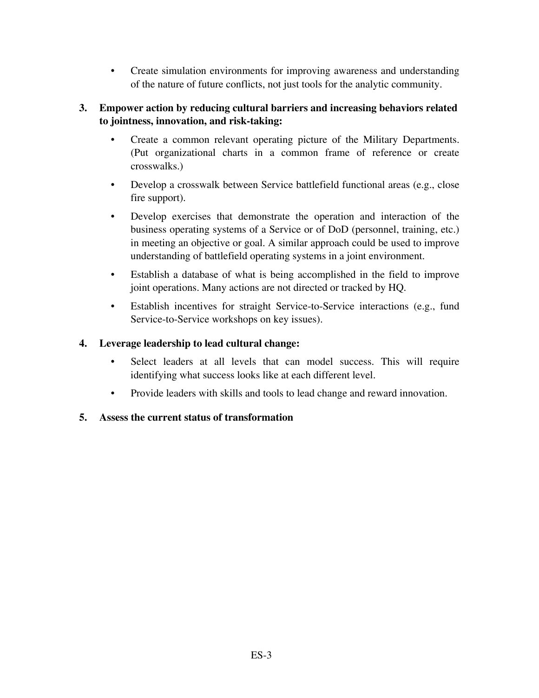• Create simulation environments for improving awareness and understanding of the nature of future conflicts, not just tools for the analytic community.

### **3. Empower action by reducing cultural barriers and increasing behaviors related to jointness, innovation, and risk-taking:**

- Create a common relevant operating picture of the Military Departments. (Put organizational charts in a common frame of reference or create crosswalks.)
- Develop a crosswalk between Service battlefield functional areas (e.g., close fire support).
- Develop exercises that demonstrate the operation and interaction of the business operating systems of a Service or of DoD (personnel, training, etc.) in meeting an objective or goal. A similar approach could be used to improve understanding of battlefield operating systems in a joint environment.
- Establish a database of what is being accomplished in the field to improve joint operations. Many actions are not directed or tracked by HQ.
- Establish incentives for straight Service-to-Service interactions (e.g., fund Service-to-Service workshops on key issues).

### **4. Leverage leadership to lead cultural change:**

- Select leaders at all levels that can model success. This will require identifying what success looks like at each different level.
- Provide leaders with skills and tools to lead change and reward innovation.

### **5. Assess the current status of transformation**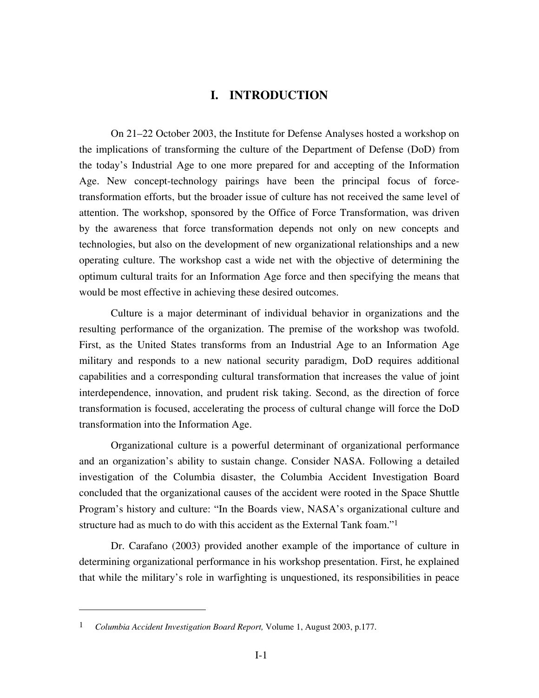### **I. INTRODUCTION**

On 21–22 October 2003, the Institute for Defense Analyses hosted a workshop on the implications of transforming the culture of the Department of Defense (DoD) from the today's Industrial Age to one more prepared for and accepting of the Information Age. New concept-technology pairings have been the principal focus of forcetransformation efforts, but the broader issue of culture has not received the same level of attention. The workshop, sponsored by the Office of Force Transformation, was driven by the awareness that force transformation depends not only on new concepts and technologies, but also on the development of new organizational relationships and a new operating culture. The workshop cast a wide net with the objective of determining the optimum cultural traits for an Information Age force and then specifying the means that would be most effective in achieving these desired outcomes.

Culture is a major determinant of individual behavior in organizations and the resulting performance of the organization. The premise of the workshop was twofold. First, as the United States transforms from an Industrial Age to an Information Age military and responds to a new national security paradigm, DoD requires additional capabilities and a corresponding cultural transformation that increases the value of joint interdependence, innovation, and prudent risk taking. Second, as the direction of force transformation is focused, accelerating the process of cultural change will force the DoD transformation into the Information Age.

Organizational culture is a powerful determinant of organizational performance and an organization's ability to sustain change. Consider NASA. Following a detailed investigation of the Columbia disaster, the Columbia Accident Investigation Board concluded that the organizational causes of the accident were rooted in the Space Shuttle Program's history and culture: "In the Boards view, NASA's organizational culture and structure had as much to do with this accident as the External Tank foam."<sup>1</sup>

Dr. Carafano (2003) provided another example of the importance of culture in determining organizational performance in his workshop presentation. First, he explained that while the military's role in warfighting is unquestioned, its responsibilities in peace

 $\overline{a}$ 

<sup>1</sup> *Columbia Accident Investigation Board Report,* Volume 1, August 2003, p.177.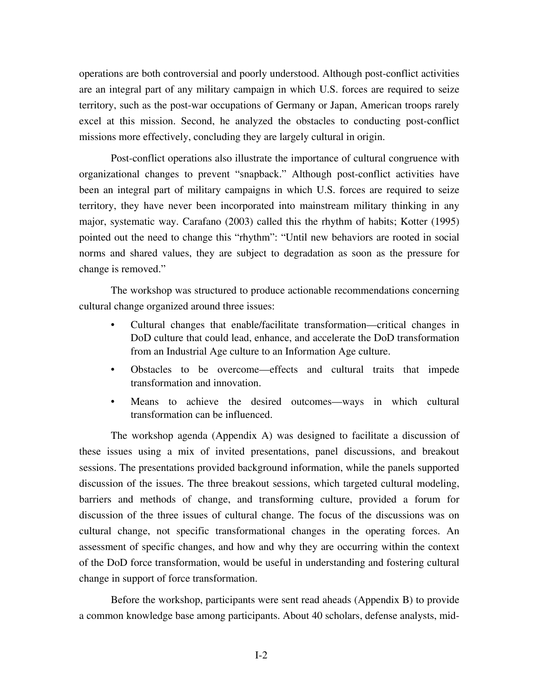operations are both controversial and poorly understood. Although post-conflict activities are an integral part of any military campaign in which U.S. forces are required to seize territory, such as the post-war occupations of Germany or Japan, American troops rarely excel at this mission. Second, he analyzed the obstacles to conducting post-conflict missions more effectively, concluding they are largely cultural in origin.

Post-conflict operations also illustrate the importance of cultural congruence with organizational changes to prevent "snapback." Although post-conflict activities have been an integral part of military campaigns in which U.S. forces are required to seize territory, they have never been incorporated into mainstream military thinking in any major, systematic way. Carafano (2003) called this the rhythm of habits; Kotter (1995) pointed out the need to change this "rhythm": "Until new behaviors are rooted in social norms and shared values, they are subject to degradation as soon as the pressure for change is removed."

The workshop was structured to produce actionable recommendations concerning cultural change organized around three issues:

- Cultural changes that enable/facilitate transformation—critical changes in DoD culture that could lead, enhance, and accelerate the DoD transformation from an Industrial Age culture to an Information Age culture.
- Obstacles to be overcome—effects and cultural traits that impede transformation and innovation.
- Means to achieve the desired outcomes—ways in which cultural transformation can be influenced.

The workshop agenda (Appendix A) was designed to facilitate a discussion of these issues using a mix of invited presentations, panel discussions, and breakout sessions. The presentations provided background information, while the panels supported discussion of the issues. The three breakout sessions, which targeted cultural modeling, barriers and methods of change, and transforming culture, provided a forum for discussion of the three issues of cultural change. The focus of the discussions was on cultural change, not specific transformational changes in the operating forces. An assessment of specific changes, and how and why they are occurring within the context of the DoD force transformation, would be useful in understanding and fostering cultural change in support of force transformation.

Before the workshop, participants were sent read aheads (Appendix B) to provide a common knowledge base among participants. About 40 scholars, defense analysts, mid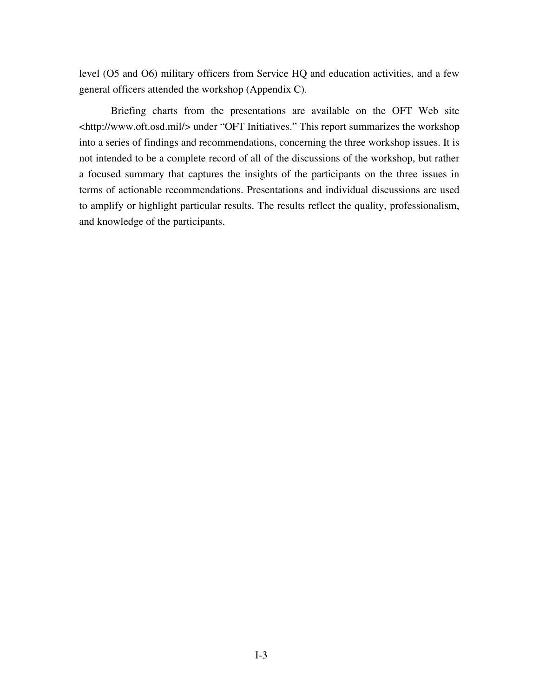level (O5 and O6) military officers from Service HQ and education activities, and a few general officers attended the workshop (Appendix C).

Briefing charts from the presentations are available on the OFT Web site <http://www.oft.osd.mil/> under "OFT Initiatives." This report summarizes the workshop into a series of findings and recommendations, concerning the three workshop issues. It is not intended to be a complete record of all of the discussions of the workshop, but rather a focused summary that captures the insights of the participants on the three issues in terms of actionable recommendations. Presentations and individual discussions are used to amplify or highlight particular results. The results reflect the quality, professionalism, and knowledge of the participants.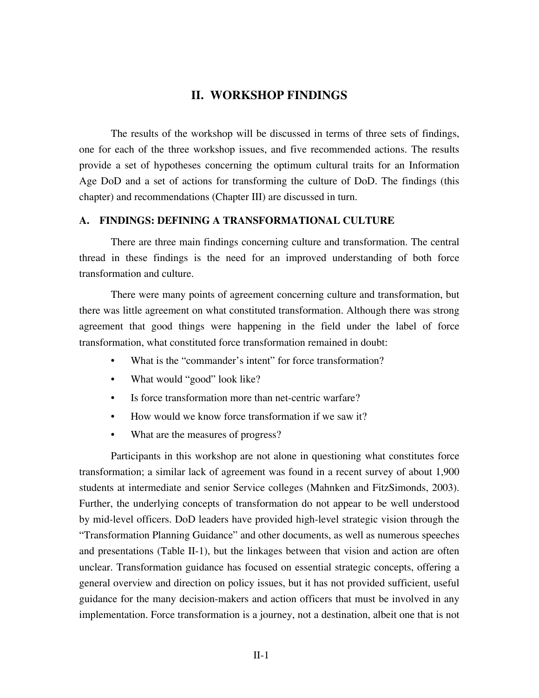### **II. WORKSHOP FINDINGS**

The results of the workshop will be discussed in terms of three sets of findings, one for each of the three workshop issues, and five recommended actions. The results provide a set of hypotheses concerning the optimum cultural traits for an Information Age DoD and a set of actions for transforming the culture of DoD. The findings (this chapter) and recommendations (Chapter III) are discussed in turn.

### **A. FINDINGS: DEFINING A TRANSFORMATIONAL CULTURE**

There are three main findings concerning culture and transformation. The central thread in these findings is the need for an improved understanding of both force transformation and culture.

There were many points of agreement concerning culture and transformation, but there was little agreement on what constituted transformation. Although there was strong agreement that good things were happening in the field under the label of force transformation, what constituted force transformation remained in doubt:

- What is the "commander's intent" for force transformation?
- What would "good" look like?
- Is force transformation more than net-centric warfare?
- How would we know force transformation if we saw it?
- What are the measures of progress?

Participants in this workshop are not alone in questioning what constitutes force transformation; a similar lack of agreement was found in a recent survey of about 1,900 students at intermediate and senior Service colleges (Mahnken and FitzSimonds, 2003). Further, the underlying concepts of transformation do not appear to be well understood by mid-level officers. DoD leaders have provided high-level strategic vision through the "Transformation Planning Guidance" and other documents, as well as numerous speeches and presentations (Table II-1), but the linkages between that vision and action are often unclear. Transformation guidance has focused on essential strategic concepts, offering a general overview and direction on policy issues, but it has not provided sufficient, useful guidance for the many decision-makers and action officers that must be involved in any implementation. Force transformation is a journey, not a destination, albeit one that is not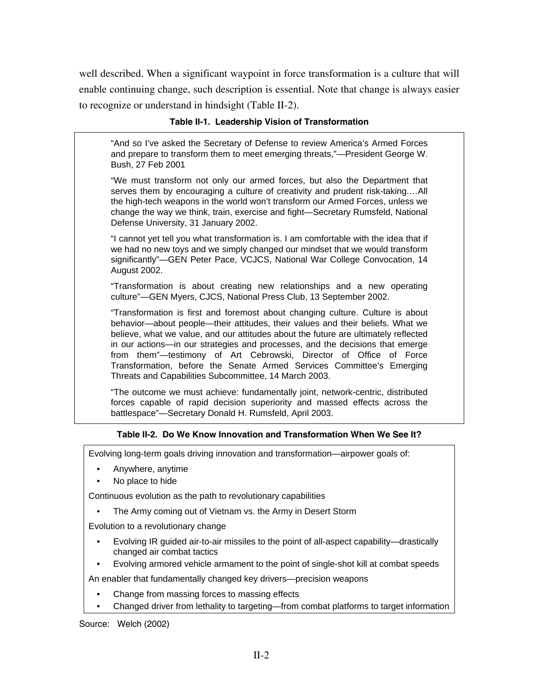well described. When a significant waypoint in force transformation is a culture that will enable continuing change, such description is essential. Note that change is always easier to recognize or understand in hindsight (Table II-2).

### **Table II-1. Leadership Vision of Transformation**

"And so I've asked the Secretary of Defense to review America's Armed Forces and prepare to transform them to meet emerging threats,"—President George W. Bush, 27 Feb 2001

"We must transform not only our armed forces, but also the Department that serves them by encouraging a culture of creativity and prudent risk-taking.…All the high-tech weapons in the world won't transform our Armed Forces, unless we change the way we think, train, exercise and fight—Secretary Rumsfeld, National Defense University, 31 January 2002.

"I cannot yet tell you what transformation is. I am comfortable with the idea that if we had no new toys and we simply changed our mindset that we would transform significantly"—GEN Peter Pace, VCJCS, National War College Convocation, 14 August 2002.

"Transformation is about creating new relationships and a new operating culture"—GEN Myers, CJCS, National Press Club, 13 September 2002.

"Transformation is first and foremost about changing culture. Culture is about behavior—about people—their attitudes, their values and their beliefs. What we believe, what we value, and our attitudes about the future are ultimately reflected in our actions—in our strategies and processes, and the decisions that emerge from them"—testimony of Art Cebrowski, Director of Office of Force Transformation, before the Senate Armed Services Committee's Emerging Threats and Capabilities Subcommittee, 14 March 2003.

"The outcome we must achieve: fundamentally joint, network-centric, distributed forces capable of rapid decision superiority and massed effects across the battlespace"—Secretary Donald H. Rumsfeld, April 2003.

### **Table II-2. Do We Know Innovation and Transformation When We See It?**

Evolving long-term goals driving innovation and transformation—airpower goals of:

- Anywhere, anytime
- No place to hide

Continuous evolution as the path to revolutionary capabilities

The Army coming out of Vietnam vs. the Army in Desert Storm

Evolution to a revolutionary change

- Evolving IR guided air-to-air missiles to the point of all-aspect capability—drastically changed air combat tactics
- Evolving armored vehicle armament to the point of single-shot kill at combat speeds

An enabler that fundamentally changed key drivers—precision weapons

- Change from massing forces to massing effects
- Changed driver from lethality to targeting—from combat platforms to target information

Source: Welch (2002)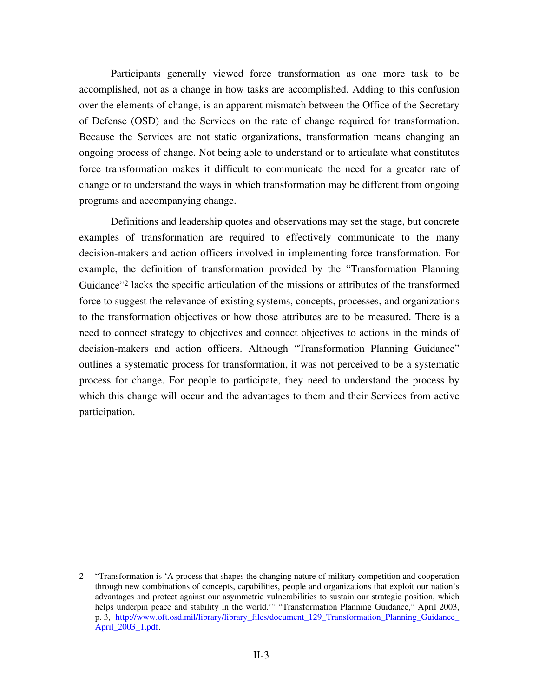Participants generally viewed force transformation as one more task to be accomplished, not as a change in how tasks are accomplished. Adding to this confusion over the elements of change, is an apparent mismatch between the Office of the Secretary of Defense (OSD) and the Services on the rate of change required for transformation. Because the Services are not static organizations, transformation means changing an ongoing process of change. Not being able to understand or to articulate what constitutes force transformation makes it difficult to communicate the need for a greater rate of change or to understand the ways in which transformation may be different from ongoing programs and accompanying change.

Definitions and leadership quotes and observations may set the stage, but concrete examples of transformation are required to effectively communicate to the many decision-makers and action officers involved in implementing force transformation. For example, the definition of transformation provided by the "Transformation Planning Guidance"2 lacks the specific articulation of the missions or attributes of the transformed force to suggest the relevance of existing systems, concepts, processes, and organizations to the transformation objectives or how those attributes are to be measured. There is a need to connect strategy to objectives and connect objectives to actions in the minds of decision-makers and action officers. Although "Transformation Planning Guidance" outlines a systematic process for transformation, it was not perceived to be a systematic process for change. For people to participate, they need to understand the process by which this change will occur and the advantages to them and their Services from active participation.

 $\overline{a}$ 

<sup>2 &</sup>quot;Transformation is 'A process that shapes the changing nature of military competition and cooperation through new combinations of concepts, capabilities, people and organizations that exploit our nation's advantages and protect against our asymmetric vulnerabilities to sustain our strategic position, which helps underpin peace and stability in the world.'" "Transformation Planning Guidance," April 2003, p. 3, http://www.oft.osd.mil/library/library\_files/document\_129\_Transformation\_Planning\_Guidance\_ April\_2003\_1.pdf.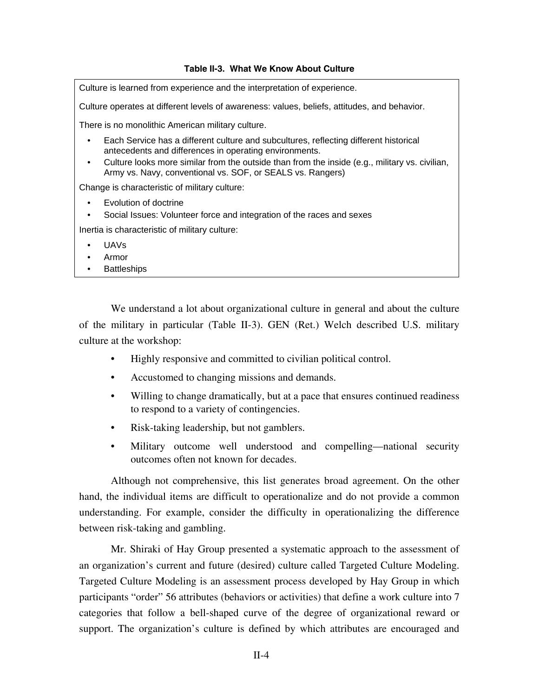### **Table II-3. What We Know About Culture**

Culture is learned from experience and the interpretation of experience.

Culture operates at different levels of awareness: values, beliefs, attitudes, and behavior.

There is no monolithic American military culture.

- Each Service has a different culture and subcultures, reflecting different historical antecedents and differences in operating environments.
- Culture looks more similar from the outside than from the inside (e.g., military vs. civilian, Army vs. Navy, conventional vs. SOF, or SEALS vs. Rangers)

Change is characteristic of military culture:

- Evolution of doctrine
- Social Issues: Volunteer force and integration of the races and sexes

Inertia is characteristic of military culture:

- UAVs
- Armor
- **Battleships**

We understand a lot about organizational culture in general and about the culture of the military in particular (Table II-3). GEN (Ret.) Welch described U.S. military culture at the workshop:

- Highly responsive and committed to civilian political control.
- Accustomed to changing missions and demands.
- Willing to change dramatically, but at a pace that ensures continued readiness to respond to a variety of contingencies.
- Risk-taking leadership, but not gamblers.
- Military outcome well understood and compelling—national security outcomes often not known for decades.

Although not comprehensive, this list generates broad agreement. On the other hand, the individual items are difficult to operationalize and do not provide a common understanding. For example, consider the difficulty in operationalizing the difference between risk-taking and gambling.

Mr. Shiraki of Hay Group presented a systematic approach to the assessment of an organization's current and future (desired) culture called Targeted Culture Modeling. Targeted Culture Modeling is an assessment process developed by Hay Group in which participants "order" 56 attributes (behaviors or activities) that define a work culture into 7 categories that follow a bell-shaped curve of the degree of organizational reward or support. The organization's culture is defined by which attributes are encouraged and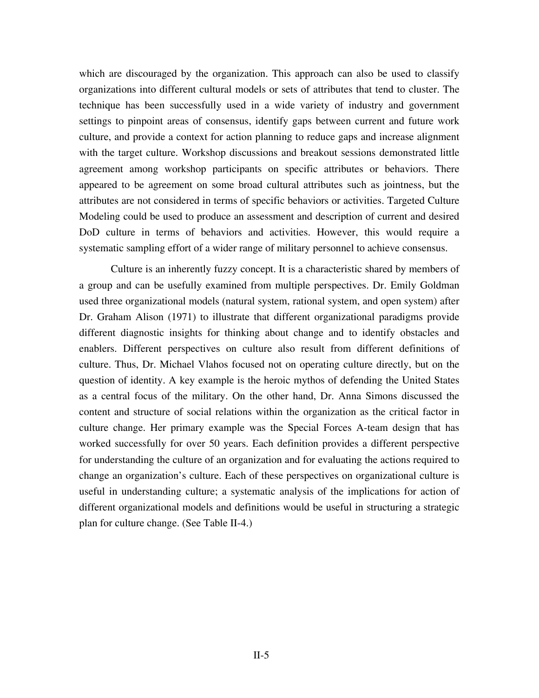which are discouraged by the organization. This approach can also be used to classify organizations into different cultural models or sets of attributes that tend to cluster. The technique has been successfully used in a wide variety of industry and government settings to pinpoint areas of consensus, identify gaps between current and future work culture, and provide a context for action planning to reduce gaps and increase alignment with the target culture. Workshop discussions and breakout sessions demonstrated little agreement among workshop participants on specific attributes or behaviors. There appeared to be agreement on some broad cultural attributes such as jointness, but the attributes are not considered in terms of specific behaviors or activities. Targeted Culture Modeling could be used to produce an assessment and description of current and desired DoD culture in terms of behaviors and activities. However, this would require a systematic sampling effort of a wider range of military personnel to achieve consensus.

Culture is an inherently fuzzy concept. It is a characteristic shared by members of a group and can be usefully examined from multiple perspectives. Dr. Emily Goldman used three organizational models (natural system, rational system, and open system) after Dr. Graham Alison (1971) to illustrate that different organizational paradigms provide different diagnostic insights for thinking about change and to identify obstacles and enablers. Different perspectives on culture also result from different definitions of culture. Thus, Dr. Michael Vlahos focused not on operating culture directly, but on the question of identity. A key example is the heroic mythos of defending the United States as a central focus of the military. On the other hand, Dr. Anna Simons discussed the content and structure of social relations within the organization as the critical factor in culture change. Her primary example was the Special Forces A-team design that has worked successfully for over 50 years. Each definition provides a different perspective for understanding the culture of an organization and for evaluating the actions required to change an organization's culture. Each of these perspectives on organizational culture is useful in understanding culture; a systematic analysis of the implications for action of different organizational models and definitions would be useful in structuring a strategic plan for culture change. (See Table II-4.)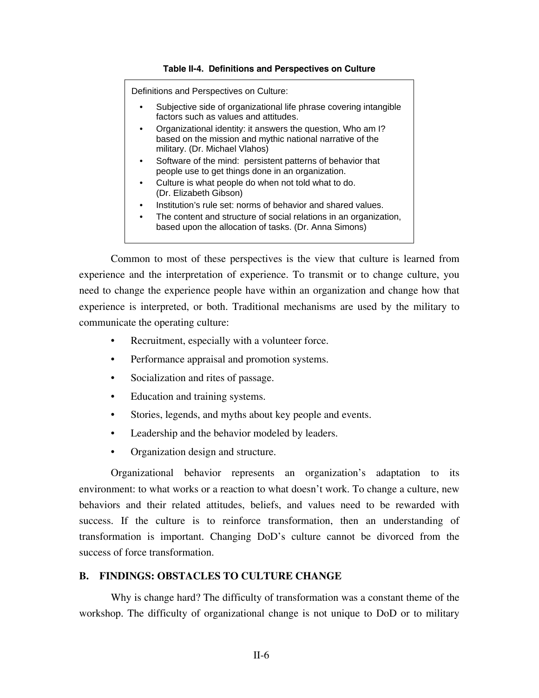### **Table II-4. Definitions and Perspectives on Culture**

Definitions and Perspectives on Culture:

- Subjective side of organizational life phrase covering intangible factors such as values and attitudes.
- Organizational identity: it answers the question, Who am I? based on the mission and mythic national narrative of the military. (Dr. Michael Vlahos)
- Software of the mind: persistent patterns of behavior that people use to get things done in an organization.
- Culture is what people do when not told what to do. (Dr. Elizabeth Gibson)
- Institution's rule set: norms of behavior and shared values.
- The content and structure of social relations in an organization, based upon the allocation of tasks. (Dr. Anna Simons)

Common to most of these perspectives is the view that culture is learned from experience and the interpretation of experience. To transmit or to change culture, you need to change the experience people have within an organization and change how that experience is interpreted, or both. Traditional mechanisms are used by the military to communicate the operating culture:

- Recruitment, especially with a volunteer force.
- Performance appraisal and promotion systems.
- Socialization and rites of passage.
- Education and training systems.
- Stories, legends, and myths about key people and events.
- Leadership and the behavior modeled by leaders.
- Organization design and structure.

Organizational behavior represents an organization's adaptation to its environment: to what works or a reaction to what doesn't work. To change a culture, new behaviors and their related attitudes, beliefs, and values need to be rewarded with success. If the culture is to reinforce transformation, then an understanding of transformation is important. Changing DoD's culture cannot be divorced from the success of force transformation.

### **B. FINDINGS: OBSTACLES TO CULTURE CHANGE**

Why is change hard? The difficulty of transformation was a constant theme of the workshop. The difficulty of organizational change is not unique to DoD or to military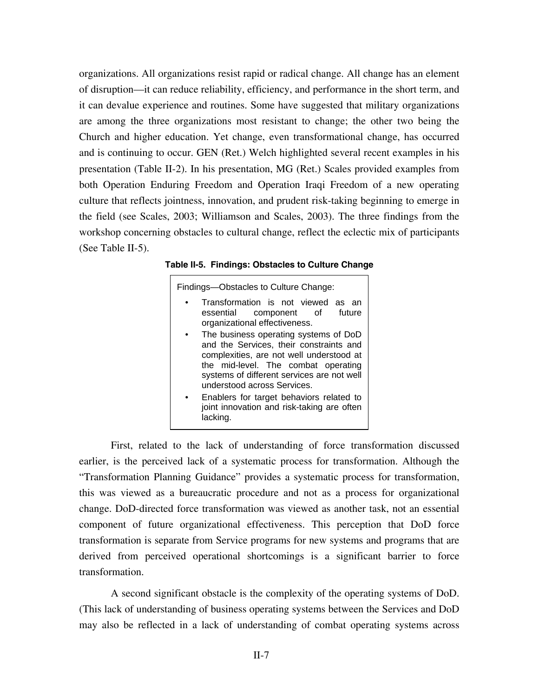organizations. All organizations resist rapid or radical change. All change has an element of disruption—it can reduce reliability, efficiency, and performance in the short term, and it can devalue experience and routines. Some have suggested that military organizations are among the three organizations most resistant to change; the other two being the Church and higher education. Yet change, even transformational change, has occurred and is continuing to occur. GEN (Ret.) Welch highlighted several recent examples in his presentation (Table II-2). In his presentation, MG (Ret.) Scales provided examples from both Operation Enduring Freedom and Operation Iraqi Freedom of a new operating culture that reflects jointness, innovation, and prudent risk-taking beginning to emerge in the field (see Scales, 2003; Williamson and Scales, 2003). The three findings from the workshop concerning obstacles to cultural change, reflect the eclectic mix of participants (See Table II-5).

| Table II-5. Findings: Obstacles to Culture Change |  |  |  |  |  |
|---------------------------------------------------|--|--|--|--|--|
|---------------------------------------------------|--|--|--|--|--|

| Findings-Obstacles to Culture Change:                                                                                                                                                                                                            |  |  |  |  |  |  |
|--------------------------------------------------------------------------------------------------------------------------------------------------------------------------------------------------------------------------------------------------|--|--|--|--|--|--|
| Transformation is not viewed as an<br>essential component of future<br>organizational effectiveness.                                                                                                                                             |  |  |  |  |  |  |
| The business operating systems of DoD<br>and the Services, their constraints and<br>complexities, are not well understood at<br>the mid-level. The combat operating<br>systems of different services are not well<br>understood across Services. |  |  |  |  |  |  |
| Enablers for target behaviors related to<br>joint innovation and risk-taking are often<br>lacking.                                                                                                                                               |  |  |  |  |  |  |

First, related to the lack of understanding of force transformation discussed earlier, is the perceived lack of a systematic process for transformation. Although the "Transformation Planning Guidance" provides a systematic process for transformation, this was viewed as a bureaucratic procedure and not as a process for organizational change. DoD-directed force transformation was viewed as another task, not an essential component of future organizational effectiveness. This perception that DoD force transformation is separate from Service programs for new systems and programs that are derived from perceived operational shortcomings is a significant barrier to force transformation.

A second significant obstacle is the complexity of the operating systems of DoD. (This lack of understanding of business operating systems between the Services and DoD may also be reflected in a lack of understanding of combat operating systems across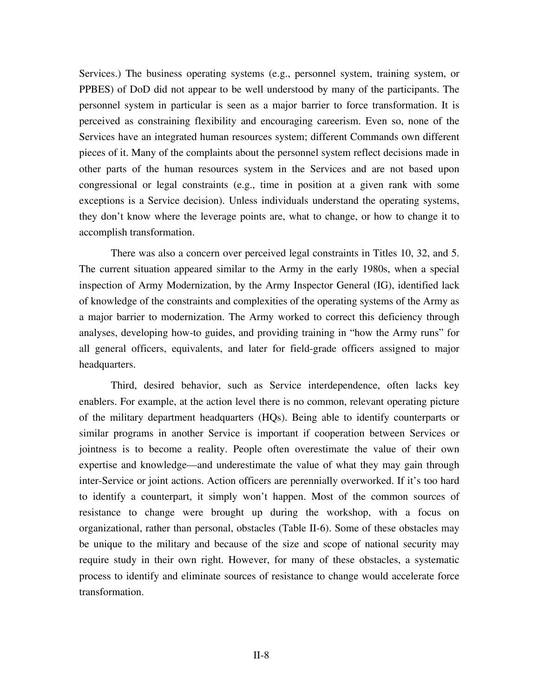Services.) The business operating systems (e.g., personnel system, training system, or PPBES) of DoD did not appear to be well understood by many of the participants. The personnel system in particular is seen as a major barrier to force transformation. It is perceived as constraining flexibility and encouraging careerism. Even so, none of the Services have an integrated human resources system; different Commands own different pieces of it. Many of the complaints about the personnel system reflect decisions made in other parts of the human resources system in the Services and are not based upon congressional or legal constraints (e.g., time in position at a given rank with some exceptions is a Service decision). Unless individuals understand the operating systems, they don't know where the leverage points are, what to change, or how to change it to accomplish transformation.

There was also a concern over perceived legal constraints in Titles 10, 32, and 5. The current situation appeared similar to the Army in the early 1980s, when a special inspection of Army Modernization, by the Army Inspector General (IG), identified lack of knowledge of the constraints and complexities of the operating systems of the Army as a major barrier to modernization. The Army worked to correct this deficiency through analyses, developing how-to guides, and providing training in "how the Army runs" for all general officers, equivalents, and later for field-grade officers assigned to major headquarters.

Third, desired behavior, such as Service interdependence, often lacks key enablers. For example, at the action level there is no common, relevant operating picture of the military department headquarters (HQs). Being able to identify counterparts or similar programs in another Service is important if cooperation between Services or jointness is to become a reality. People often overestimate the value of their own expertise and knowledge—and underestimate the value of what they may gain through inter-Service or joint actions. Action officers are perennially overworked. If it's too hard to identify a counterpart, it simply won't happen. Most of the common sources of resistance to change were brought up during the workshop, with a focus on organizational, rather than personal, obstacles (Table II-6). Some of these obstacles may be unique to the military and because of the size and scope of national security may require study in their own right. However, for many of these obstacles, a systematic process to identify and eliminate sources of resistance to change would accelerate force transformation.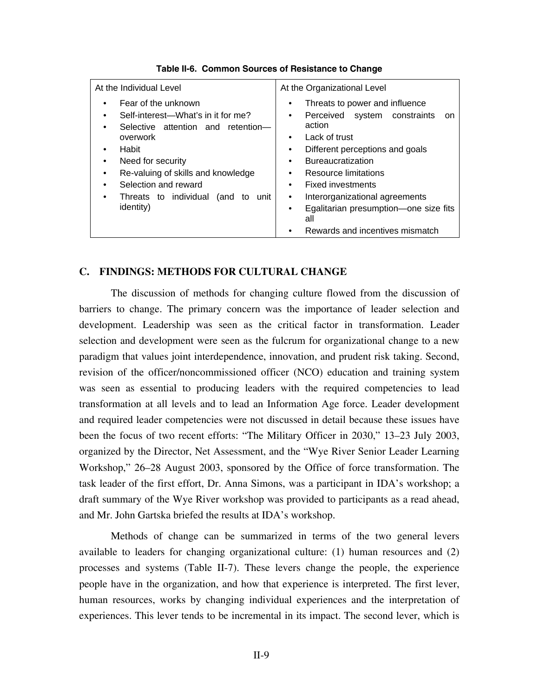| At the Individual Level                                                                                                                                                                                                                                             | At the Organizational Level                                                                                                                                                                                                                                                                                                                                                                 |  |  |
|---------------------------------------------------------------------------------------------------------------------------------------------------------------------------------------------------------------------------------------------------------------------|---------------------------------------------------------------------------------------------------------------------------------------------------------------------------------------------------------------------------------------------------------------------------------------------------------------------------------------------------------------------------------------------|--|--|
| Fear of the unknown<br>Self-interest-What's in it for me?<br>Selective attention and retention-<br>overwork<br>Habit<br>Need for security<br>Re-valuing of skills and knowledge<br>Selection and reward<br>Threats to individual<br>(and<br>unit<br>to<br>identity) | Threats to power and influence<br>Perceived system constraints<br><sub>on</sub><br>٠<br>action<br>Lack of trust<br>٠<br>Different perceptions and goals<br>٠<br><b>Bureaucratization</b><br>٠<br>Resource limitations<br>$\bullet$<br>Fixed investments<br>٠<br>Interorganizational agreements<br>٠<br>Egalitarian presumption-one size fits<br>٠<br>all<br>Rewards and incentives mismatch |  |  |

### **Table II-6. Common Sources of Resistance to Change**

### **C. FINDINGS: METHODS FOR CULTURAL CHANGE**

The discussion of methods for changing culture flowed from the discussion of barriers to change. The primary concern was the importance of leader selection and development. Leadership was seen as the critical factor in transformation. Leader selection and development were seen as the fulcrum for organizational change to a new paradigm that values joint interdependence, innovation, and prudent risk taking. Second, revision of the officer/noncommissioned officer (NCO) education and training system was seen as essential to producing leaders with the required competencies to lead transformation at all levels and to lead an Information Age force. Leader development and required leader competencies were not discussed in detail because these issues have been the focus of two recent efforts: "The Military Officer in 2030," 13–23 July 2003, organized by the Director, Net Assessment, and the "Wye River Senior Leader Learning Workshop," 26–28 August 2003, sponsored by the Office of force transformation. The task leader of the first effort, Dr. Anna Simons, was a participant in IDA's workshop; a draft summary of the Wye River workshop was provided to participants as a read ahead, and Mr. John Gartska briefed the results at IDA's workshop.

Methods of change can be summarized in terms of the two general levers available to leaders for changing organizational culture: (1) human resources and (2) processes and systems (Table II-7). These levers change the people, the experience people have in the organization, and how that experience is interpreted. The first lever, human resources, works by changing individual experiences and the interpretation of experiences. This lever tends to be incremental in its impact. The second lever, which is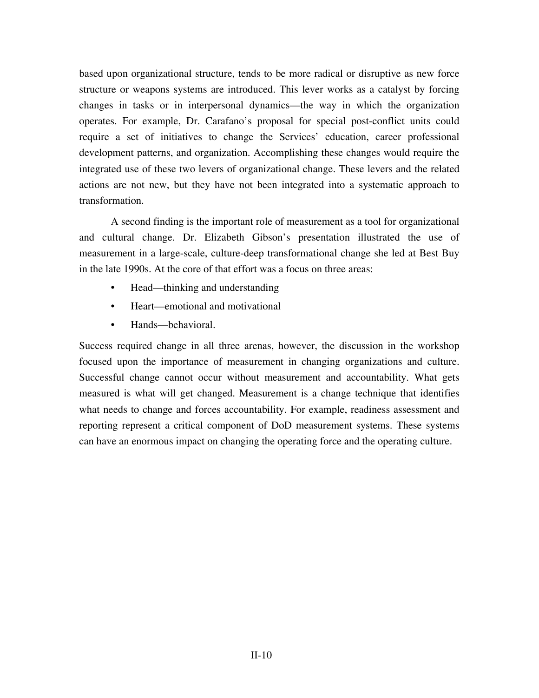based upon organizational structure, tends to be more radical or disruptive as new force structure or weapons systems are introduced. This lever works as a catalyst by forcing changes in tasks or in interpersonal dynamics—the way in which the organization operates. For example, Dr. Carafano's proposal for special post-conflict units could require a set of initiatives to change the Services' education, career professional development patterns, and organization. Accomplishing these changes would require the integrated use of these two levers of organizational change. These levers and the related actions are not new, but they have not been integrated into a systematic approach to transformation.

A second finding is the important role of measurement as a tool for organizational and cultural change. Dr. Elizabeth Gibson's presentation illustrated the use of measurement in a large-scale, culture-deep transformational change she led at Best Buy in the late 1990s. At the core of that effort was a focus on three areas:

- Head—thinking and understanding
- Heart—emotional and motivational
- Hands—behavioral.

Success required change in all three arenas, however, the discussion in the workshop focused upon the importance of measurement in changing organizations and culture. Successful change cannot occur without measurement and accountability. What gets measured is what will get changed. Measurement is a change technique that identifies what needs to change and forces accountability. For example, readiness assessment and reporting represent a critical component of DoD measurement systems. These systems can have an enormous impact on changing the operating force and the operating culture.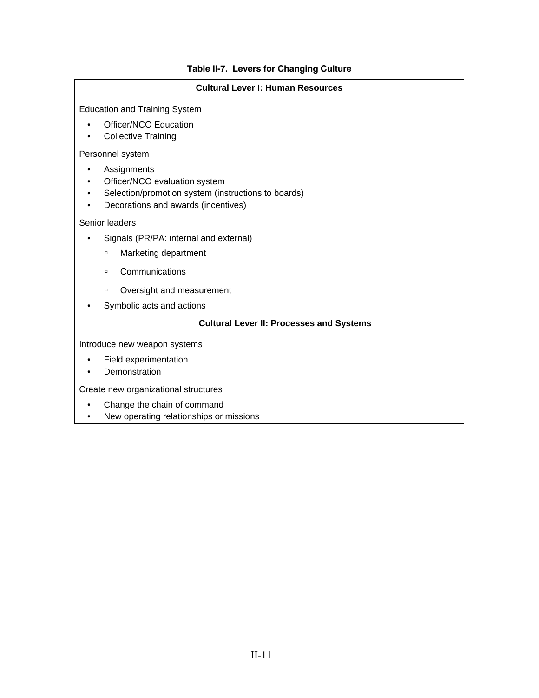### **Table II-7. Levers for Changing Culture**

### **Cultural Lever I: Human Resources**

Education and Training System

- Officer/NCO Education
- Collective Training

Personnel system

- Assignments
- Officer/NCO evaluation system
- Selection/promotion system (instructions to boards)
- Decorations and awards (incentives)

### Senior leaders

- Signals (PR/PA: internal and external)
	- **<sup>□</sup>** Marketing department
	- à Communications
	- à Oversight and measurement
- Symbolic acts and actions

### **Cultural Lever II: Processes and Systems**

Introduce new weapon systems

- Field experimentation
- Demonstration

Create new organizational structures

- Change the chain of command
- New operating relationships or missions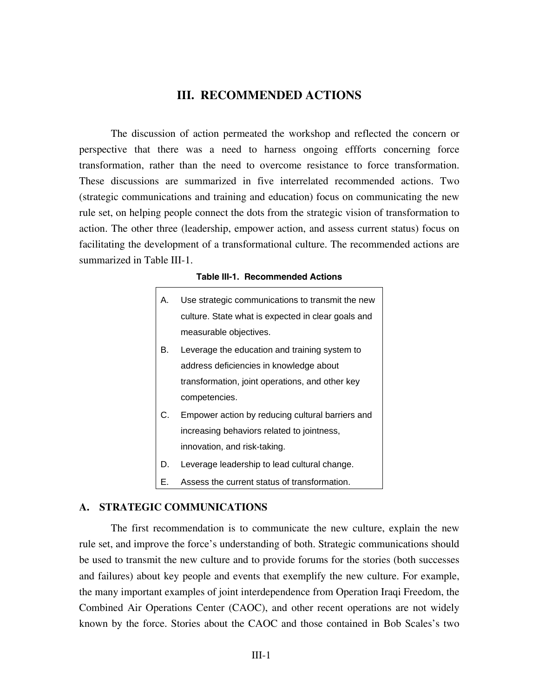### **III. RECOMMENDED ACTIONS**

The discussion of action permeated the workshop and reflected the concern or perspective that there was a need to harness ongoing effforts concerning force transformation, rather than the need to overcome resistance to force transformation. These discussions are summarized in five interrelated recommended actions. Two (strategic communications and training and education) focus on communicating the new rule set, on helping people connect the dots from the strategic vision of transformation to action. The other three (leadership, empower action, and assess current status) focus on facilitating the development of a transformational culture. The recommended actions are summarized in Table III-1.

### **Table III-1. Recommended Actions**

| А. | Use strategic communications to transmit the new   |
|----|----------------------------------------------------|
|    | culture. State what is expected in clear goals and |
|    | measurable objectives.                             |
| В. | Leverage the education and training system to      |
|    | address deficiencies in knowledge about            |
|    | transformation, joint operations, and other key    |
|    | competencies.                                      |
| C. | Empower action by reducing cultural barriers and   |
|    | increasing behaviors related to jointness,         |
|    | innovation, and risk-taking.                       |
| D. | Leverage leadership to lead cultural change.       |

E. Assess the current status of transformation.

### **A. STRATEGIC COMMUNICATIONS**

The first recommendation is to communicate the new culture, explain the new rule set, and improve the force's understanding of both. Strategic communications should be used to transmit the new culture and to provide forums for the stories (both successes and failures) about key people and events that exemplify the new culture. For example, the many important examples of joint interdependence from Operation Iraqi Freedom, the Combined Air Operations Center (CAOC), and other recent operations are not widely known by the force. Stories about the CAOC and those contained in Bob Scales's two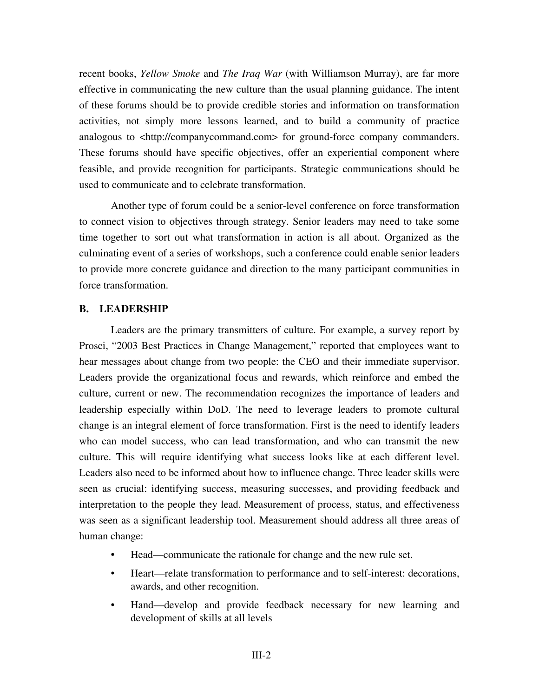recent books, *Yellow Smoke* and *The Iraq War* (with Williamson Murray), are far more effective in communicating the new culture than the usual planning guidance. The intent of these forums should be to provide credible stories and information on transformation activities, not simply more lessons learned, and to build a community of practice analogous to  $\lt$ http://companycommand.com> for ground-force company commanders. These forums should have specific objectives, offer an experiential component where feasible, and provide recognition for participants. Strategic communications should be used to communicate and to celebrate transformation.

Another type of forum could be a senior-level conference on force transformation to connect vision to objectives through strategy. Senior leaders may need to take some time together to sort out what transformation in action is all about. Organized as the culminating event of a series of workshops, such a conference could enable senior leaders to provide more concrete guidance and direction to the many participant communities in force transformation.

### **B. LEADERSHIP**

Leaders are the primary transmitters of culture. For example, a survey report by Prosci, "2003 Best Practices in Change Management," reported that employees want to hear messages about change from two people: the CEO and their immediate supervisor. Leaders provide the organizational focus and rewards, which reinforce and embed the culture, current or new. The recommendation recognizes the importance of leaders and leadership especially within DoD. The need to leverage leaders to promote cultural change is an integral element of force transformation. First is the need to identify leaders who can model success, who can lead transformation, and who can transmit the new culture. This will require identifying what success looks like at each different level. Leaders also need to be informed about how to influence change. Three leader skills were seen as crucial: identifying success, measuring successes, and providing feedback and interpretation to the people they lead. Measurement of process, status, and effectiveness was seen as a significant leadership tool. Measurement should address all three areas of human change:

- Head—communicate the rationale for change and the new rule set.
- Heart—relate transformation to performance and to self-interest: decorations, awards, and other recognition.
- Hand—develop and provide feedback necessary for new learning and development of skills at all levels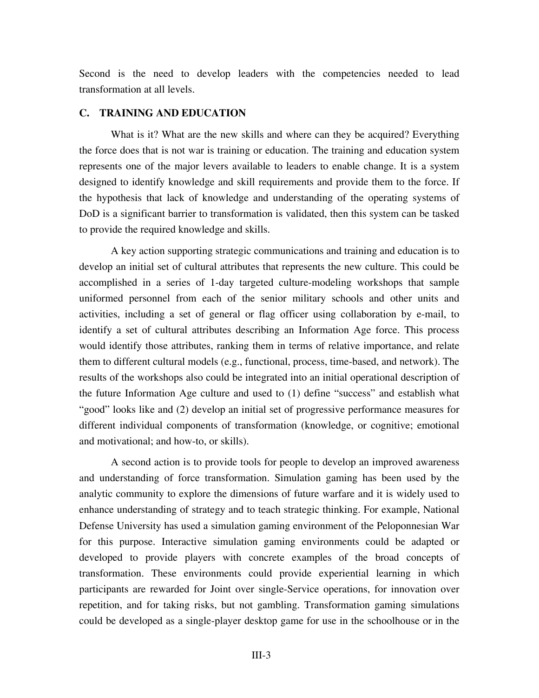Second is the need to develop leaders with the competencies needed to lead transformation at all levels.

### **C. TRAINING AND EDUCATION**

What is it? What are the new skills and where can they be acquired? Everything the force does that is not war is training or education. The training and education system represents one of the major levers available to leaders to enable change. It is a system designed to identify knowledge and skill requirements and provide them to the force. If the hypothesis that lack of knowledge and understanding of the operating systems of DoD is a significant barrier to transformation is validated, then this system can be tasked to provide the required knowledge and skills.

A key action supporting strategic communications and training and education is to develop an initial set of cultural attributes that represents the new culture. This could be accomplished in a series of 1-day targeted culture-modeling workshops that sample uniformed personnel from each of the senior military schools and other units and activities, including a set of general or flag officer using collaboration by e-mail, to identify a set of cultural attributes describing an Information Age force. This process would identify those attributes, ranking them in terms of relative importance, and relate them to different cultural models (e.g., functional, process, time-based, and network). The results of the workshops also could be integrated into an initial operational description of the future Information Age culture and used to (1) define "success" and establish what "good" looks like and (2) develop an initial set of progressive performance measures for different individual components of transformation (knowledge, or cognitive; emotional and motivational; and how-to, or skills).

A second action is to provide tools for people to develop an improved awareness and understanding of force transformation. Simulation gaming has been used by the analytic community to explore the dimensions of future warfare and it is widely used to enhance understanding of strategy and to teach strategic thinking. For example, National Defense University has used a simulation gaming environment of the Peloponnesian War for this purpose. Interactive simulation gaming environments could be adapted or developed to provide players with concrete examples of the broad concepts of transformation. These environments could provide experiential learning in which participants are rewarded for Joint over single-Service operations, for innovation over repetition, and for taking risks, but not gambling. Transformation gaming simulations could be developed as a single-player desktop game for use in the schoolhouse or in the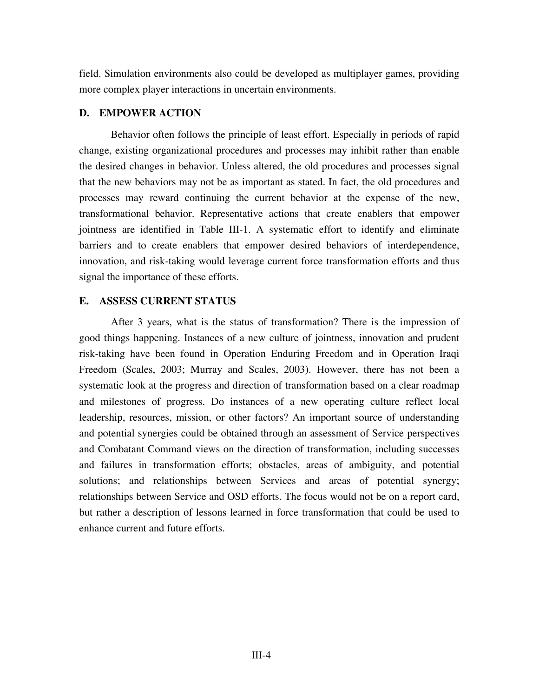field. Simulation environments also could be developed as multiplayer games, providing more complex player interactions in uncertain environments.

### **D. EMPOWER ACTION**

Behavior often follows the principle of least effort. Especially in periods of rapid change, existing organizational procedures and processes may inhibit rather than enable the desired changes in behavior. Unless altered, the old procedures and processes signal that the new behaviors may not be as important as stated. In fact, the old procedures and processes may reward continuing the current behavior at the expense of the new, transformational behavior. Representative actions that create enablers that empower jointness are identified in Table III-1. A systematic effort to identify and eliminate barriers and to create enablers that empower desired behaviors of interdependence, innovation, and risk-taking would leverage current force transformation efforts and thus signal the importance of these efforts.

### **E. ASSESS CURRENT STATUS**

After 3 years, what is the status of transformation? There is the impression of good things happening. Instances of a new culture of jointness, innovation and prudent risk-taking have been found in Operation Enduring Freedom and in Operation Iraqi Freedom (Scales, 2003; Murray and Scales, 2003). However, there has not been a systematic look at the progress and direction of transformation based on a clear roadmap and milestones of progress. Do instances of a new operating culture reflect local leadership, resources, mission, or other factors? An important source of understanding and potential synergies could be obtained through an assessment of Service perspectives and Combatant Command views on the direction of transformation, including successes and failures in transformation efforts; obstacles, areas of ambiguity, and potential solutions; and relationships between Services and areas of potential synergy; relationships between Service and OSD efforts. The focus would not be on a report card, but rather a description of lessons learned in force transformation that could be used to enhance current and future efforts.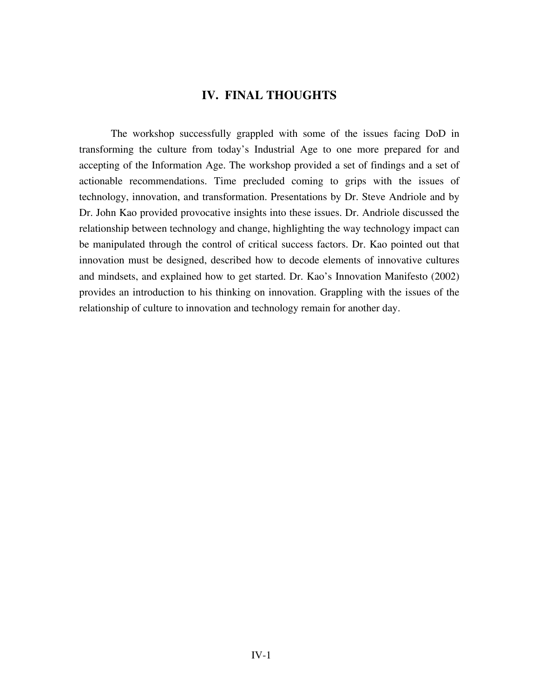### **IV. FINAL THOUGHTS**

The workshop successfully grappled with some of the issues facing DoD in transforming the culture from today's Industrial Age to one more prepared for and accepting of the Information Age. The workshop provided a set of findings and a set of actionable recommendations. Time precluded coming to grips with the issues of technology, innovation, and transformation. Presentations by Dr. Steve Andriole and by Dr. John Kao provided provocative insights into these issues. Dr. Andriole discussed the relationship between technology and change, highlighting the way technology impact can be manipulated through the control of critical success factors. Dr. Kao pointed out that innovation must be designed, described how to decode elements of innovative cultures and mindsets, and explained how to get started. Dr. Kao's Innovation Manifesto (2002) provides an introduction to his thinking on innovation. Grappling with the issues of the relationship of culture to innovation and technology remain for another day.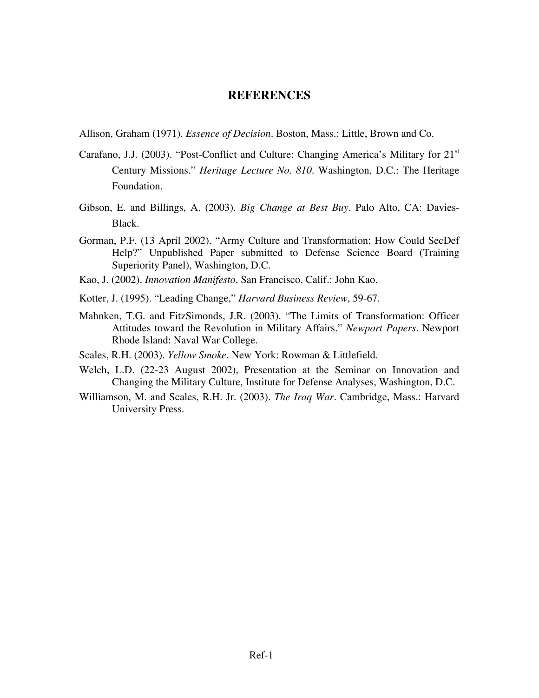### **REFERENCES**

Allison, Graham (1971). *Essence of Decision*. Boston, Mass.: Little, Brown and Co.

- Carafano, J.J. (2003). "Post-Conflict and Culture: Changing America's Military for 21<sup>st</sup> Century Missions." *Heritage Lecture No. 810*. Washington, D.C.: The Heritage Foundation.
- Gibson, E. and Billings, A. (2003). *Big Change at Best Buy*. Palo Alto, CA: Davies-Black.
- Gorman, P.F. (13 April 2002). "Army Culture and Transformation: How Could SecDef Help?" Unpublished Paper submitted to Defense Science Board (Training Superiority Panel), Washington, D.C.
- Kao, J. (2002). *Innovation Manifesto*. San Francisco, Calif.: John Kao.
- Kotter, J. (1995). "Leading Change," *Harvard Business Review*, 59-67.
- Mahnken, T.G. and FitzSimonds, J.R. (2003). "The Limits of Transformation: Officer Attitudes toward the Revolution in Military Affairs." *Newport Papers*. Newport Rhode Island: Naval War College.
- Scales, R.H. (2003). *Yellow Smoke*. New York: Rowman & Littlefield.
- Welch, L.D. (22-23 August 2002), Presentation at the Seminar on Innovation and Changing the Military Culture, Institute for Defense Analyses, Washington, D.C.
- Williamson, M. and Scales, R.H. Jr. (2003). *The Iraq War*. Cambridge, Mass.: Harvard University Press.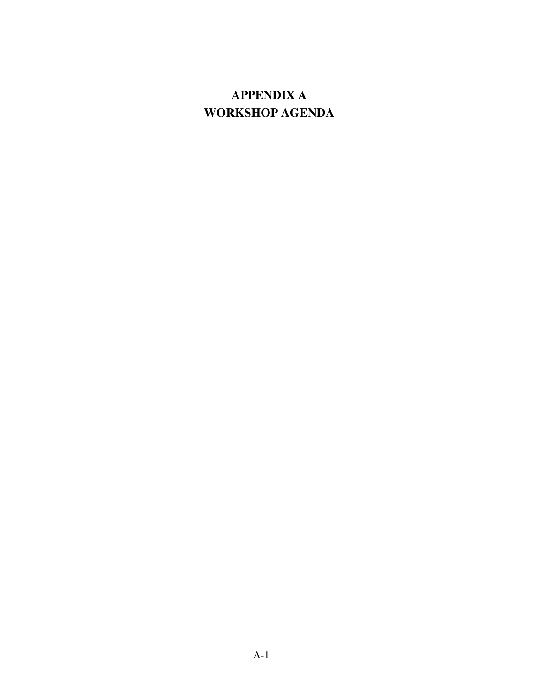# **APPENDIX A WORKSHOP AGENDA**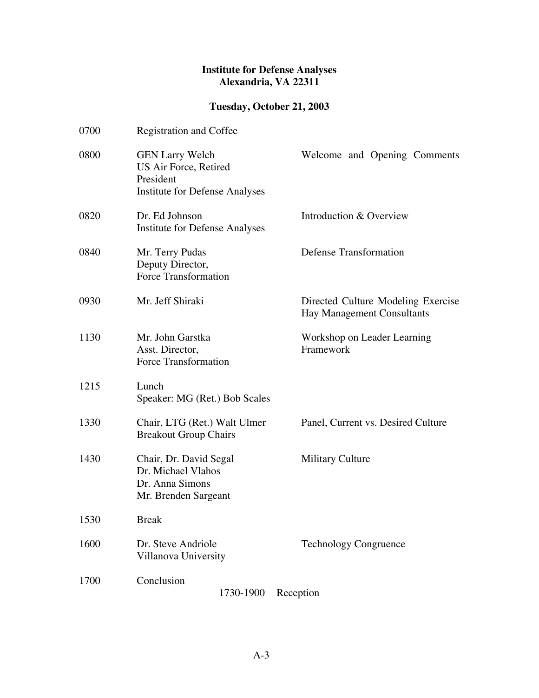### **Institute for Defense Analyses Alexandria, VA 22311**

## **Tuesday, October 21, 2003**

| 0700 | <b>Registration and Coffee</b>                                                                        |                                                                  |
|------|-------------------------------------------------------------------------------------------------------|------------------------------------------------------------------|
| 0800 | <b>GEN Larry Welch</b><br>US Air Force, Retired<br>President<br><b>Institute for Defense Analyses</b> | Welcome and Opening Comments                                     |
| 0820 | Dr. Ed Johnson<br><b>Institute for Defense Analyses</b>                                               | Introduction & Overview                                          |
| 0840 | Mr. Terry Pudas<br>Deputy Director,<br>Force Transformation                                           | <b>Defense Transformation</b>                                    |
| 0930 | Mr. Jeff Shiraki                                                                                      | Directed Culture Modeling Exercise<br>Hay Management Consultants |
| 1130 | Mr. John Garstka<br>Asst. Director,<br>Force Transformation                                           | Workshop on Leader Learning<br>Framework                         |
| 1215 | Lunch<br>Speaker: MG (Ret.) Bob Scales                                                                |                                                                  |
| 1330 | Chair, LTG (Ret.) Walt Ulmer<br><b>Breakout Group Chairs</b>                                          | Panel, Current vs. Desired Culture                               |
| 1430 | Chair, Dr. David Segal<br>Dr. Michael Vlahos<br>Dr. Anna Simons<br>Mr. Brenden Sargeant               | <b>Military Culture</b>                                          |
| 1530 | <b>Break</b>                                                                                          |                                                                  |
| 1600 | Dr. Steve Andriole<br>Villanova University                                                            | <b>Technology Congruence</b>                                     |
| 1700 | Conclusion<br>1730-1900                                                                               | Reception                                                        |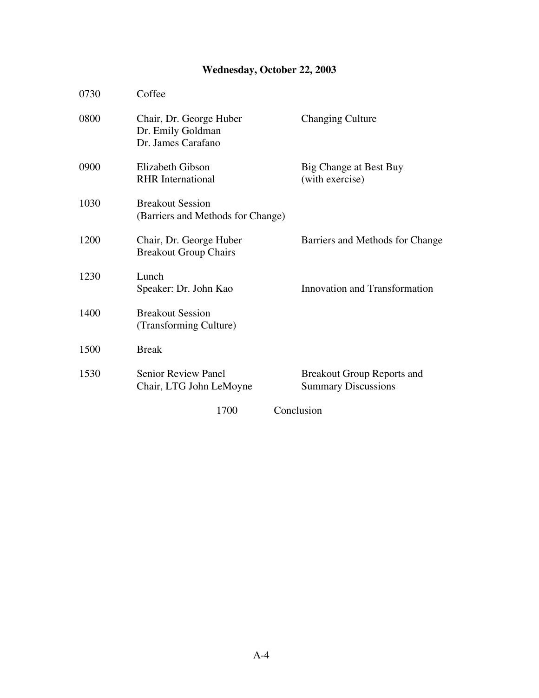# **Wednesday, October 22, 2003**

| 0730 | Coffee                                                             |                                                                 |
|------|--------------------------------------------------------------------|-----------------------------------------------------------------|
| 0800 | Chair, Dr. George Huber<br>Dr. Emily Goldman<br>Dr. James Carafano | <b>Changing Culture</b>                                         |
| 0900 | Elizabeth Gibson<br><b>RHR</b> International                       | Big Change at Best Buy<br>(with exercise)                       |
| 1030 | <b>Breakout Session</b><br>(Barriers and Methods for Change)       |                                                                 |
| 1200 | Chair, Dr. George Huber<br><b>Breakout Group Chairs</b>            | Barriers and Methods for Change                                 |
| 1230 | Lunch<br>Speaker: Dr. John Kao                                     | Innovation and Transformation                                   |
| 1400 | <b>Breakout Session</b><br>(Transforming Culture)                  |                                                                 |
| 1500 | <b>Break</b>                                                       |                                                                 |
| 1530 | <b>Senior Review Panel</b><br>Chair, LTG John LeMoyne              | <b>Breakout Group Reports and</b><br><b>Summary Discussions</b> |
|      | 1700                                                               | Conclusion                                                      |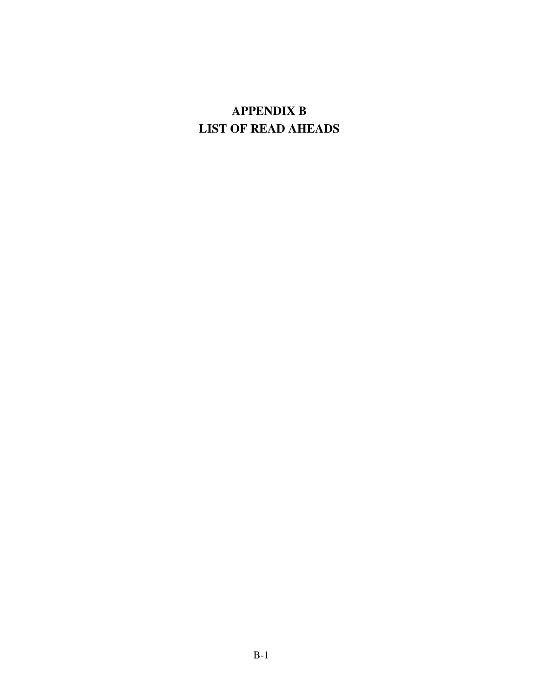# **APPENDIX B LIST OF READ AHEADS**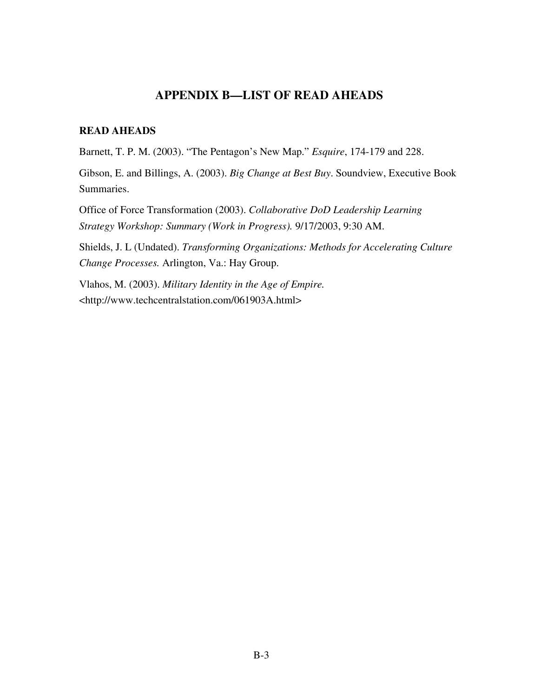### **APPENDIX B—LIST OF READ AHEADS**

### **READ AHEADS**

Barnett, T. P. M. (2003). "The Pentagon's New Map." *Esquire*, 174-179 and 228.

Gibson, E. and Billings, A. (2003). *Big Change at Best Buy*. Soundview, Executive Book Summaries.

Office of Force Transformation (2003). *Collaborative DoD Leadership Learning Strategy Workshop: Summary (Work in Progress).* 9/17/2003, 9:30 AM.

Shields, J. L (Undated). *Transforming Organizations: Methods for Accelerating Culture Change Processes.* Arlington, Va.: Hay Group.

Vlahos, M. (2003). *Military Identity in the Age of Empire.* <http://www.techcentralstation.com/061903A.html>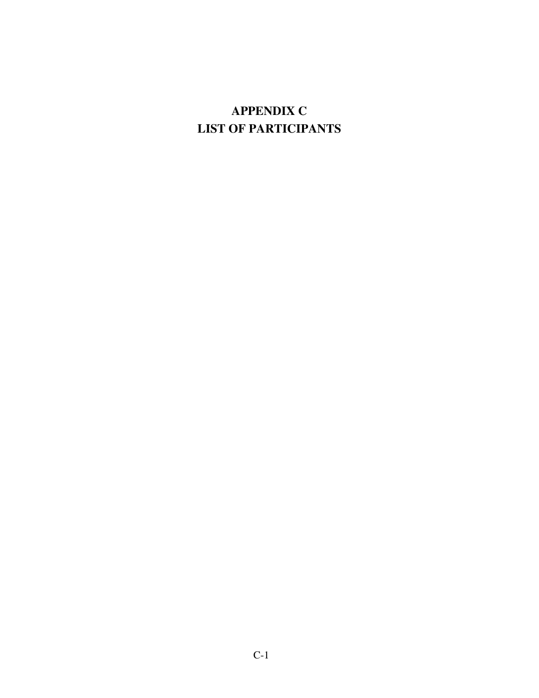# **APPENDIX C LIST OF PARTICIPANTS**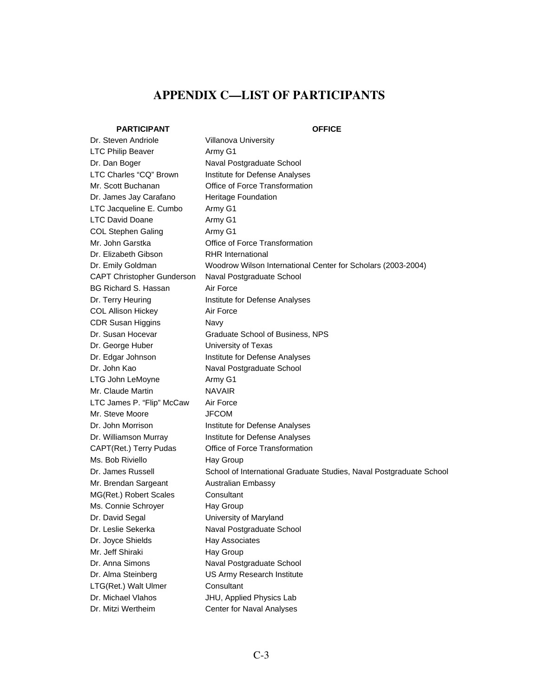# **APPENDIX C—LIST OF PARTICIPANTS**

### **PARTICIPANT OFFICE**

| Dr. Steven Andriole         | Villanova University                                                |
|-----------------------------|---------------------------------------------------------------------|
| <b>LTC Philip Beaver</b>    | Army G1                                                             |
| Dr. Dan Boger               | Naval Postgraduate School                                           |
| LTC Charles "CQ" Brown      | Institute for Defense Analyses                                      |
| Mr. Scott Buchanan          | Office of Force Transformation                                      |
| Dr. James Jay Carafano      | <b>Heritage Foundation</b>                                          |
| LTC Jacqueline E. Cumbo     | Army G1                                                             |
| LTC David Doane             | Army G1                                                             |
| <b>COL Stephen Galing</b>   | Army G1                                                             |
| Mr. John Garstka            | Office of Force Transformation                                      |
| Dr. Elizabeth Gibson        | <b>RHR</b> International                                            |
| Dr. Emily Goldman           | Woodrow Wilson International Center for Scholars (2003-2004)        |
| CAPT Christopher Gunderson  | Naval Postgraduate School                                           |
| <b>BG Richard S. Hassan</b> | Air Force                                                           |
| Dr. Terry Heuring           | Institute for Defense Analyses                                      |
| <b>COL Allison Hickey</b>   | Air Force                                                           |
| <b>CDR Susan Higgins</b>    | Navy                                                                |
| Dr. Susan Hocevar           | Graduate School of Business, NPS                                    |
| Dr. George Huber            | University of Texas                                                 |
| Dr. Edgar Johnson           | Institute for Defense Analyses                                      |
| Dr. John Kao                | Naval Postgraduate School                                           |
| LTG John LeMoyne            | Army G1                                                             |
| Mr. Claude Martin           | <b>NAVAIR</b>                                                       |
| LTC James P. "Flip" McCaw   | Air Force                                                           |
| Mr. Steve Moore             | <b>JFCOM</b>                                                        |
| Dr. John Morrison           | Institute for Defense Analyses                                      |
| Dr. Williamson Murray       | Institute for Defense Analyses                                      |
| CAPT(Ret.) Terry Pudas      | Office of Force Transformation                                      |
| Ms. Bob Riviello            | Hay Group                                                           |
| Dr. James Russell           | School of International Graduate Studies, Naval Postgraduate School |
| Mr. Brendan Sargeant        | <b>Australian Embassy</b>                                           |
| MG(Ret.) Robert Scales      | Consultant                                                          |
| Ms. Connie Schroyer         | Hay Group                                                           |
| Dr. David Segal             | University of Maryland                                              |
| Dr. Leslie Sekerka          | Naval Postgraduate School                                           |
| Dr. Joyce Shields           | Hay Associates                                                      |
| Mr. Jeff Shiraki            | Hay Group                                                           |
| Dr. Anna Simons             | Naval Postgraduate School                                           |
| Dr. Alma Steinberg          | US Army Research Institute                                          |
| LTG(Ret.) Walt Ulmer        | Consultant                                                          |
| Dr. Michael Vlahos          | JHU, Applied Physics Lab                                            |
| Dr. Mitzi Wertheim          | Center for Naval Analyses                                           |